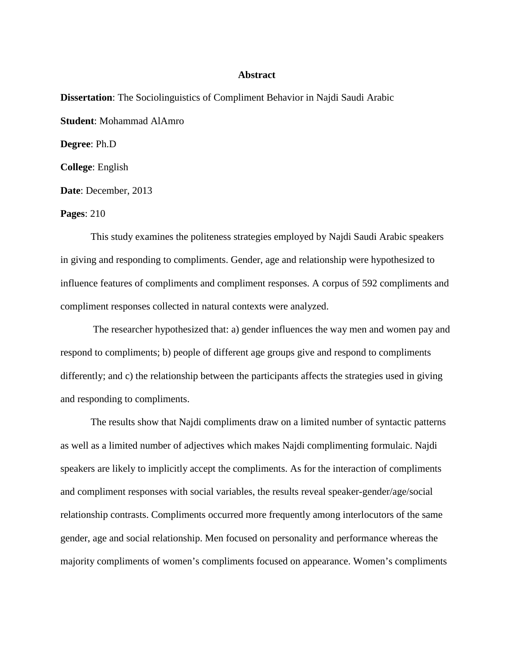## **Abstract**

**Dissertation**: The Sociolinguistics of Compliment Behavior in Najdi Saudi Arabic **Student**: Mohammad AlAmro **Degree**: Ph.D **College**: English **Date**: December, 2013

**Pages**: 210

This study examines the politeness strategies employed by Najdi Saudi Arabic speakers in giving and responding to compliments. Gender, age and relationship were hypothesized to influence features of compliments and compliment responses. A corpus of 592 compliments and compliment responses collected in natural contexts were analyzed.

The researcher hypothesized that: a) gender influences the way men and women pay and respond to compliments; b) people of different age groups give and respond to compliments differently; and c) the relationship between the participants affects the strategies used in giving and responding to compliments.

The results show that Najdi compliments draw on a limited number of syntactic patterns as well as a limited number of adjectives which makes Najdi complimenting formulaic. Najdi speakers are likely to implicitly accept the compliments. As for the interaction of compliments and compliment responses with social variables, the results reveal speaker-gender/age/social relationship contrasts. Compliments occurred more frequently among interlocutors of the same gender, age and social relationship. Men focused on personality and performance whereas the majority compliments of women's compliments focused on appearance. Women's compliments